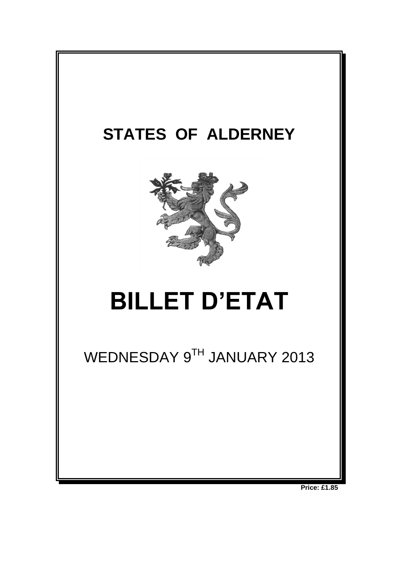

**Price: £1.85**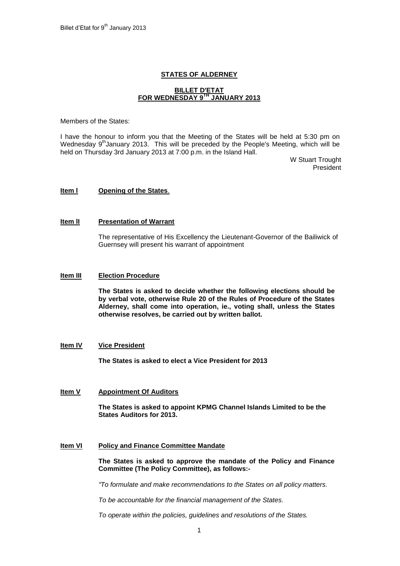# **STATES OF ALDERNEY**

# **BILLET D'ETAT FOR WEDNESDAY 9 TH JANUARY 2013**

Members of the States:

I have the honour to inform you that the Meeting of the States will be held at 5:30 pm on Wednesday 9<sup>th</sup>January 2013. This will be preceded by the People's Meeting, which will be held on Thursday 3rd January 2013 at 7:00 p.m. in the Island Hall.

> W Stuart Trought President

# **Item l Opening of the States**.

## **Item lI Presentation of Warrant**

The representative of His Excellency the Lieutenant-Governor of the Bailiwick of Guernsey will present his warrant of appointment

#### **Item III Election Procedure**

**The States is asked to decide whether the following elections should be by verbal vote, otherwise Rule 20 of the Rules of Procedure of the States Alderney, shall come into operation, ie., voting shall, unless the States otherwise resolves, be carried out by written ballot.**

## **Item IV Vice President**

**The States is asked to elect a Vice President for 2013**

# **Item V Appointment Of Auditors**

**The States is asked to appoint KPMG Channel Islands Limited to be the States Auditors for 2013.**

## **Item VI Policy and Finance Committee Mandate**

**The States is asked to approve the mandate of the Policy and Finance Committee (The Policy Committee), as follows:-**

*"To formulate and make recommendations to the States on all policy matters.*

*To be accountable for the financial management of the States.*

*To operate within the policies, guidelines and resolutions of the States.*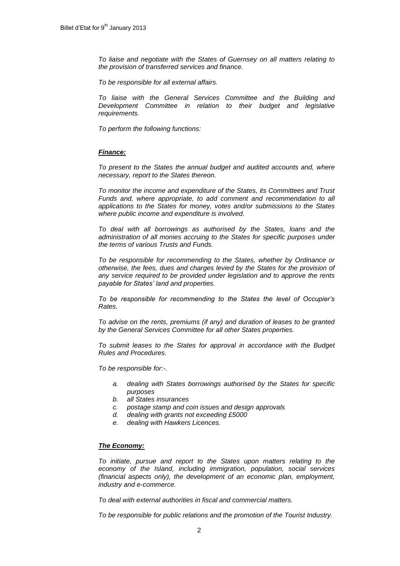*To liaise and negotiate with the States of Guernsey on all matters relating to the provision of transferred services and finance.*

*To be responsible for all external affairs.*

*To liaise with the General Services Committee and the Building and Development Committee in relation to their budget and legislative requirements.*

*To perform the following functions:*

# *Finance:*

*To present to the States the annual budget and audited accounts and, where necessary, report to the States thereon.*

*To monitor the income and expenditure of the States, its Committees and Trust Funds and, where appropriate, to add comment and recommendation to all applications to the States for money, votes and/or submissions to the States where public income and expenditure is involved.*

*To deal with all borrowings as authorised by the States, loans and the administration of all monies accruing to the States for specific purposes under the terms of various Trusts and Funds.*

*To be responsible for recommending to the States, whether by Ordinance or otherwise, the fees, dues and charges levied by the States for the provision of any service required to be provided under legislation and to approve the rents payable for States' land and properties.* 

*To be responsible for recommending to the States the level of Occupier's Rates.*

*To advise on the rents, premiums (if any) and duration of leases to be granted by the General Services Committee for all other States properties.*

*To submit leases to the States for approval in accordance with the Budget Rules and Procedures.*

*To be responsible for:-.*

- *a. dealing with States borrowings authorised by the States for specific purposes*
- *b. all States insurances*
- *c. postage stamp and coin issues and design approvals*
- *d. dealing with grants not exceeding £5000*
- *e. dealing with Hawkers Licences.*

# *The Economy:*

*To initiate, pursue and report to the States upon matters relating to the economy of the Island, including immigration, population, social services (financial aspects only), the development of an economic plan, employment, industry and e-commerce.*

*To deal with external authorities in fiscal and commercial matters.* 

*To be responsible for public relations and the promotion of the Tourist Industry.*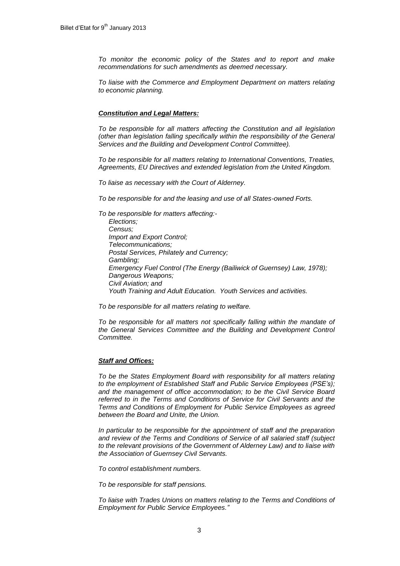*To monitor the economic policy of the States and to report and make recommendations for such amendments as deemed necessary.*

*To liaise with the Commerce and Employment Department on matters relating to economic planning.*

## *Constitution and Legal Matters:*

*To be responsible for all matters affecting the Constitution and all legislation (other than legislation falling specifically within the responsibility of the General Services and the Building and Development Control Committee).* 

*To be responsible for all matters relating to International Conventions, Treaties, Agreements, EU Directives and extended legislation from the United Kingdom.*

*To liaise as necessary with the Court of Alderney.*

*To be responsible for and the leasing and use of all States-owned Forts.*

*To be responsible for matters affecting:- Elections; Census; Import and Export Control; Telecommunications; Postal Services, Philately and Currency; Gambling; Emergency Fuel Control (The Energy (Bailiwick of Guernsey) Law, 1978); Dangerous Weapons; Civil Aviation; and Youth Training and Adult Education. Youth Services and activities.*

*To be responsible for all matters relating to welfare.*

*To be responsible for all matters not specifically falling within the mandate of the General Services Committee and the Building and Development Control Committee.*

#### *Staff and Offices:*

*To be the States Employment Board with responsibility for all matters relating to the employment of Established Staff and Public Service Employees (PSE's); and the management of office accommodation; to be the Civil Service Board*  referred to in the Terms and Conditions of Service for Civil Servants and the *Terms and Conditions of Employment for Public Service Employees as agreed between the Board and Unite, the Union.* 

*In particular to be responsible for the appointment of staff and the preparation and review of the Terms and Conditions of Service of all salaried staff (subject to the relevant provisions of the Government of Alderney Law) and to liaise with the Association of Guernsey Civil Servants.*

*To control establishment numbers.*

*To be responsible for staff pensions.*

*To liaise with Trades Unions on matters relating to the Terms and Conditions of Employment for Public Service Employees."*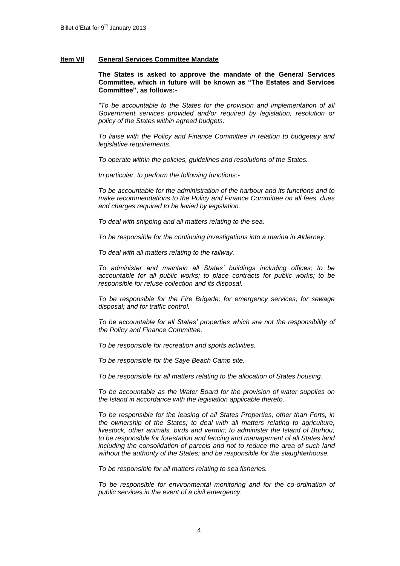## **Item VIl General Services Committee Mandate**

**The States is asked to approve the mandate of the General Services Committee, which in future will be known as "The Estates and Services Committee", as follows:-**

*"To be accountable to the States for the provision and implementation of all Government services provided and/or required by legislation, resolution or policy of the States within agreed budgets.*

*To liaise with the Policy and Finance Committee in relation to budgetary and legislative requirements.*

*To operate within the policies, guidelines and resolutions of the States.*

*In particular, to perform the following functions:-*

*To be accountable for the administration of the harbour and its functions and to make recommendations to the Policy and Finance Committee on all fees, dues and charges required to be levied by legislation.*

*To deal with shipping and all matters relating to the sea.*

*To be responsible for the continuing investigations into a marina in Alderney.*

*To deal with all matters relating to the railway.*

*To administer and maintain all States' buildings including offices; to be accountable for all public works; to place contracts for public works; to be responsible for refuse collection and its disposal.*

*To be responsible for the Fire Brigade; for emergency services; for sewage disposal; and for traffic control.*

*To be accountable for all States' properties which are not the responsibility of the Policy and Finance Committee.* 

*To be responsible for recreation and sports activities.* 

*To be responsible for the Saye Beach Camp site.*

*To be responsible for all matters relating to the allocation of States housing.*

*To be accountable as the Water Board for the provision of water supplies on the Island in accordance with the legislation applicable thereto.*

*To be responsible for the leasing of all States Properties, other than Forts, in the ownership of the States; to deal with all matters relating to agriculture, livestock, other animals, birds and vermin; to administer the Island of Burhou; to be responsible for forestation and fencing and management of all States land including the consolidation of parcels and not to reduce the area of such land without the authority of the States; and be responsible for the slaughterhouse.*

*To be responsible for all matters relating to sea fisheries.*

*To be responsible for environmental monitoring and for the co-ordination of public services in the event of a civil emergency.*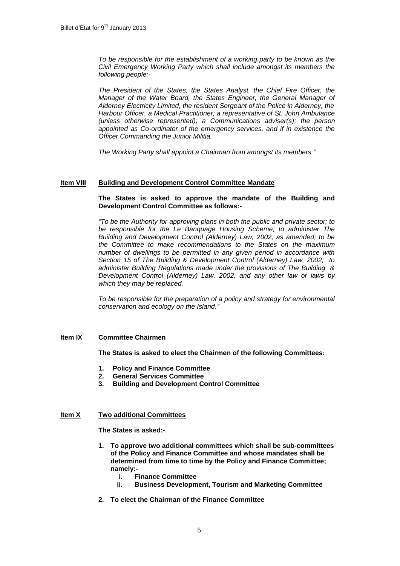*To be responsible for the establishment of a working party to be known as the Civil Emergency Working Party which shall include amongst its members the following people:-*

*The President of the States, the States Analyst, the Chief Fire Officer, the Manager of the Water Board, the States Engineer, the General Manager of Alderney Electricity Limited, the resident Sergeant of the Police in Alderney, the Harbour Officer, a Medical Practitioner; a representative of St. John Ambulance (unless otherwise represented); a Communications adviser(s); the person appointed as Co-ordinator of the emergency services, and if in existence the Officer Commanding the Junior Militia.*

*The Working Party shall appoint a Chairman from amongst its members."*

# **Item VIII Building and Development Control Committee Mandate**

# **The States is asked to approve the mandate of the Building and Development Control Committee as follows:-**

*"To be the Authority for approving plans in both the public and private sector; to be responsible for the Le Banquage Housing Scheme; to administer The Building and Development Control (Alderney) Law, 2002, as amended; to be the Committee to make recommendations to the States on the maximum number of dwellings to be permitted in any given period in accordance with Section 15 of The Building & Development Control (Alderney) Law, 2002; to administer Building Regulations made under the provisions of The Building & Development Control (Alderney) Law, 2002, and any other law or laws by which they may be replaced.*

*To be responsible for the preparation of a policy and strategy for environmental conservation and ecology on the Island."*

# **Item IX Committee Chairmen**

# **The States is asked to elect the Chairmen of the following Committees:**

- **1. Policy and Finance Committee**
- **2. General Services Committee**
- **3. Building and Development Control Committee**

# **Item X Two additional Committees**

**The States is asked:-**

- **1. To approve two additional committees which shall be sub-committees of the Policy and Finance Committee and whose mandates shall be determined from time to time by the Policy and Finance Committee; namely:**
	- **i. Finance Committee**
	- **ii. Business Development, Tourism and Marketing Committee**
- **2. To elect the Chairman of the Finance Committee**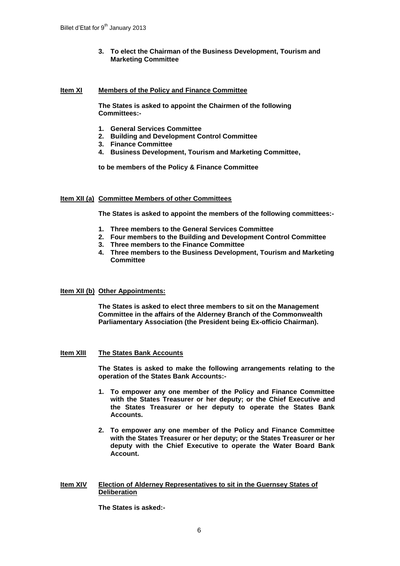**3. To elect the Chairman of the Business Development, Tourism and Marketing Committee**

#### **Item XI Members of the Policy and Finance Committee**

**The States is asked to appoint the Chairmen of the following Committees:-**

- **1. General Services Committee**
- **2. Building and Development Control Committee**
- **3. Finance Committee**
- **4. Business Development, Tourism and Marketing Committee,**

**to be members of the Policy & Finance Committee**

# **Item XII (a) Committee Members of other Committees**

**The States is asked to appoint the members of the following committees:-**

- **1. Three members to the General Services Committee**
- **2. Four members to the Building and Development Control Committee**
- **3. Three members to the Finance Committee**
- **4. Three members to the Business Development, Tourism and Marketing Committee**

# **Item XII (b) Other Appointments:**

**The States is asked to elect three members to sit on the Management Committee in the affairs of the Alderney Branch of the Commonwealth Parliamentary Association (the President being Ex-officio Chairman).**

#### **Item XlII The States Bank Accounts**

**The States is asked to make the following arrangements relating to the operation of the States Bank Accounts:-**

- **1. To empower any one member of the Policy and Finance Committee with the States Treasurer or her deputy; or the Chief Executive and the States Treasurer or her deputy to operate the States Bank Accounts.**
- **2. To empower any one member of the Policy and Finance Committee with the States Treasurer or her deputy; or the States Treasurer or her deputy with the Chief Executive to operate the Water Board Bank Account.**

#### **Item XIV Election of Alderney Representatives to sit in the Guernsey States of Deliberation**

**The States is asked:-**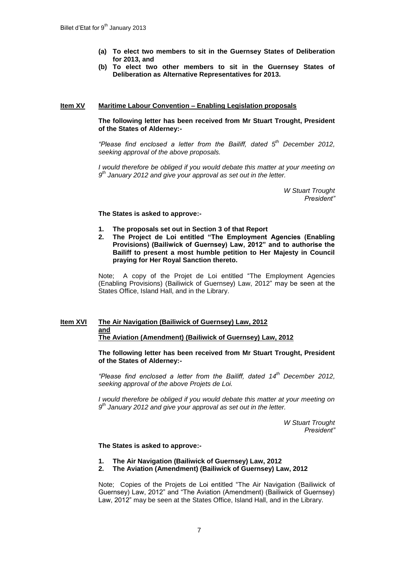- **(a) To elect two members to sit in the Guernsey States of Deliberation for 2013, and**
- **(b) To elect two other members to sit in the Guernsey States of Deliberation as Alternative Representatives for 2013.**

## **Item XV Maritime Labour Convention – Enabling Legislation proposals**

# **The following letter has been received from Mr Stuart Trought, President of the States of Alderney:-**

*"Please find enclosed a letter from the Bailiff, dated 5 th December 2012, seeking approval of the above proposals.*

*I* would therefore be obliged if you would debate this matter at your meeting on *9 th January 2012 and give your approval as set out in the letter.*

> *W Stuart Trought President"*

#### **The States is asked to approve:-**

- **1. The proposals set out in Section 3 of that Report**
- **2. The Project de Loi entitled "The Employment Agencies (Enabling Provisions) (Bailiwick of Guernsey) Law, 2012" and to authorise the Bailiff to present a most humble petition to Her Majesty in Council praying for Her Royal Sanction thereto.**

Note; A copy of the Projet de Loi entitled "The Employment Agencies (Enabling Provisions) (Bailiwick of Guernsey) Law, 2012" may be seen at the States Office, Island Hall, and in the Library.

# **Item XVI The Air Navigation (Bailiwick of Guernsey) Law, 2012 and The Aviation (Amendment) (Bailiwick of Guernsey) Law, 2012**

**The following letter has been received from Mr Stuart Trought, President of the States of Alderney:-**

*"Please find enclosed a letter from the Bailiff, dated 14th December 2012, seeking approval of the above Projets de Loi.*

*I would therefore be obliged if you would debate this matter at your meeting on 9 th January 2012 and give your approval as set out in the letter.*

> *W Stuart Trought President"*

#### **The States is asked to approve:-**

- **1. The Air Navigation (Bailiwick of Guernsey) Law, 2012**
- **2. The Aviation (Amendment) (Bailiwick of Guernsey) Law, 2012**

Note; Copies of the Projets de Loi entitled "The Air Navigation (Bailiwick of Guernsey) Law, 2012" and "The Aviation (Amendment) (Bailiwick of Guernsey) Law, 2012" may be seen at the States Office, Island Hall, and in the Library.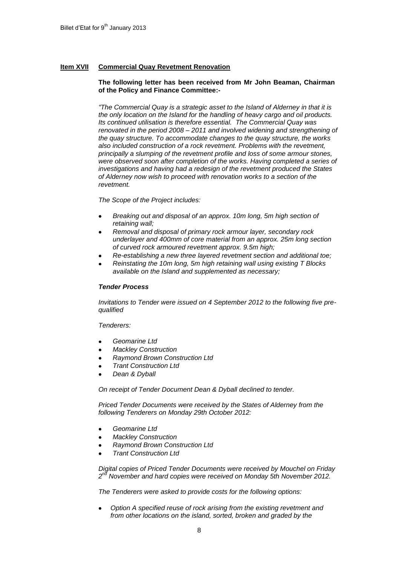# **Item XVII Commercial Quay Revetment Renovation**

## **The following letter has been received from Mr John Beaman, Chairman of the Policy and Finance Committee:-**

*"The Commercial Quay is a strategic asset to the Island of Alderney in that it is the only location on the Island for the handling of heavy cargo and oil products. Its continued utilisation is therefore essential. The Commercial Quay was renovated in the period 2008 – 2011 and involved widening and strengthening of the quay structure. To accommodate changes to the quay structure, the works also included construction of a rock revetment. Problems with the revetment, principally a slumping of the revetment profile and loss of some armour stones, were observed soon after completion of the works. Having completed a series of investigations and having had a redesign of the revetment produced the States of Alderney now wish to proceed with renovation works to a section of the revetment.*

*The Scope of the Project includes:*

- *Breaking out and disposal of an approx. 10m long, 5m high section of retaining wall;*
- *Removal and disposal of primary rock armour layer, secondary rock underlayer and 400mm of core material from an approx. 25m long section of curved rock armoured revetment approx. 9.5m high;*
- *Re-establishing a new three layered revetment section and additional toe;*
- *Reinstating the 10m long, 5m high retaining wall using existing T Blocks available on the Island and supplemented as necessary;*

# *Tender Process*

*Invitations to Tender were issued on 4 September 2012 to the following five prequalified*

*Tenderers:*

- *Geomarine Ltd*
- *Mackley Construction*
- *Raymond Brown Construction Ltd*
- *Trant Construction Ltd*
- *Dean & Dyball*

*On receipt of Tender Document Dean & Dyball declined to tender.*

*Priced Tender Documents were received by the States of Alderney from the following Tenderers on Monday 29th October 2012:*

- *Geomarine Ltd*
- *Mackley Construction*
- *Raymond Brown Construction Ltd*
- *Trant Construction Ltd*

*Digital copies of Priced Tender Documents were received by Mouchel on Friday 2 nd November and hard copies were received on Monday 5th November 2012.*

*The Tenderers were asked to provide costs for the following options:*

*Option A specified reuse of rock arising from the existing revetment and from other locations on the island, sorted, broken and graded by the*